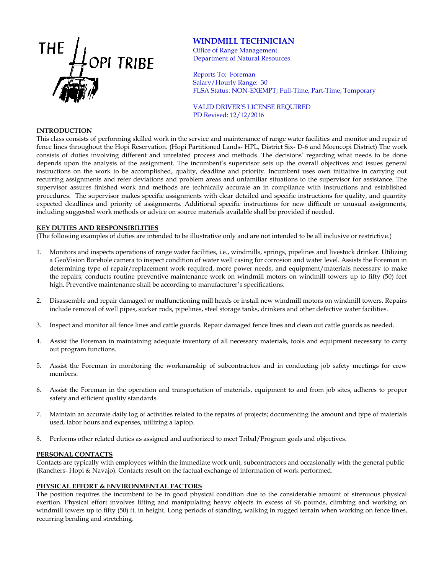

# **WINDMILL TECHNICIAN**

Office of Range Management Department of Natural Resources

Reports To: Foreman Salary/Hourly Range: 30 FLSA Status: NON-EXEMPT; Full-Time, Part-Time, Temporary

VALID DRIVER'S LICENSE REQUIRED PD Revised: 12/12/2016

## **INTRODUCTION**

This class consists of performing skilled work in the service and maintenance of range water facilities and monitor and repair of fence lines throughout the Hopi Reservation. (Hopi Partitioned Lands- HPL, District Six- D-6 and Moencopi District) The work consists of duties involving different and unrelated process and methods. The decisions' regarding what needs to be done depends upon the analysis of the assignment. The incumbent's supervisor sets up the overall objectives and issues general instructions on the work to be accomplished, quality, deadline and priority. Incumbent uses own initiative in carrying out recurring assignments and refer deviations and problem areas and unfamiliar situations to the supervisor for assistance. The supervisor assures finished work and methods are technically accurate an in compliance with instructions and established procedures. The supervisor makes specific assignments with clear detailed and specific instructions for quality, and quantity expected deadlines and priority of assignments. Additional specific instructions for new difficult or unusual assignments, including suggested work methods or advice on source materials available shall be provided if needed.

## **KEY DUTIES AND RESPONSIBILITIES**

(The following examples of duties are intended to be illustrative only and are not intended to be all inclusive or restrictive.)

- 1. Monitors and inspects operations of range water facilities, i.e., windmills, springs, pipelines and livestock drinker. Utilizing a GeoVision Borehole camera to inspect condition of water well casing for corrosion and water level. Assists the Foreman in determining type of repair/replacement work required, more power needs, and equipment/materials necessary to make the repairs; conducts routine preventive maintenance work on windmill motors on windmill towers up to fifty (50) feet high. Preventive maintenance shall be according to manufacturer's specifications.
- 2. Disassemble and repair damaged or malfunctioning mill heads or install new windmill motors on windmill towers. Repairs include removal of well pipes, sucker rods, pipelines, steel storage tanks, drinkers and other defective water facilities.
- 3. Inspect and monitor all fence lines and cattle guards. Repair damaged fence lines and clean out cattle guards as needed.
- 4. Assist the Foreman in maintaining adequate inventory of all necessary materials, tools and equipment necessary to carry out program functions.
- 5. Assist the Foreman in monitoring the workmanship of subcontractors and in conducting job safety meetings for crew members.
- 6. Assist the Foreman in the operation and transportation of materials, equipment to and from job sites, adheres to proper safety and efficient quality standards.
- 7. Maintain an accurate daily log of activities related to the repairs of projects; documenting the amount and type of materials used, labor hours and expenses, utilizing a laptop.
- 8. Performs other related duties as assigned and authorized to meet Tribal/Program goals and objectives.

## **PERSONAL CONTACTS**

Contacts are typically with employees within the immediate work unit, subcontractors and occasionally with the general public (Ranchers- Hopi & Navajo). Contacts result on the factual exchange of information of work performed.

## **PHYSICAL EFFORT & ENVIRONMENTAL FACTORS**

The position requires the incumbent to be in good physical condition due to the considerable amount of strenuous physical exertion. Physical effort involves lifting and manipulating heavy objects in excess of 96 pounds, climbing and working on windmill towers up to fifty (50) ft. in height. Long periods of standing, walking in rugged terrain when working on fence lines, recurring bending and stretching.